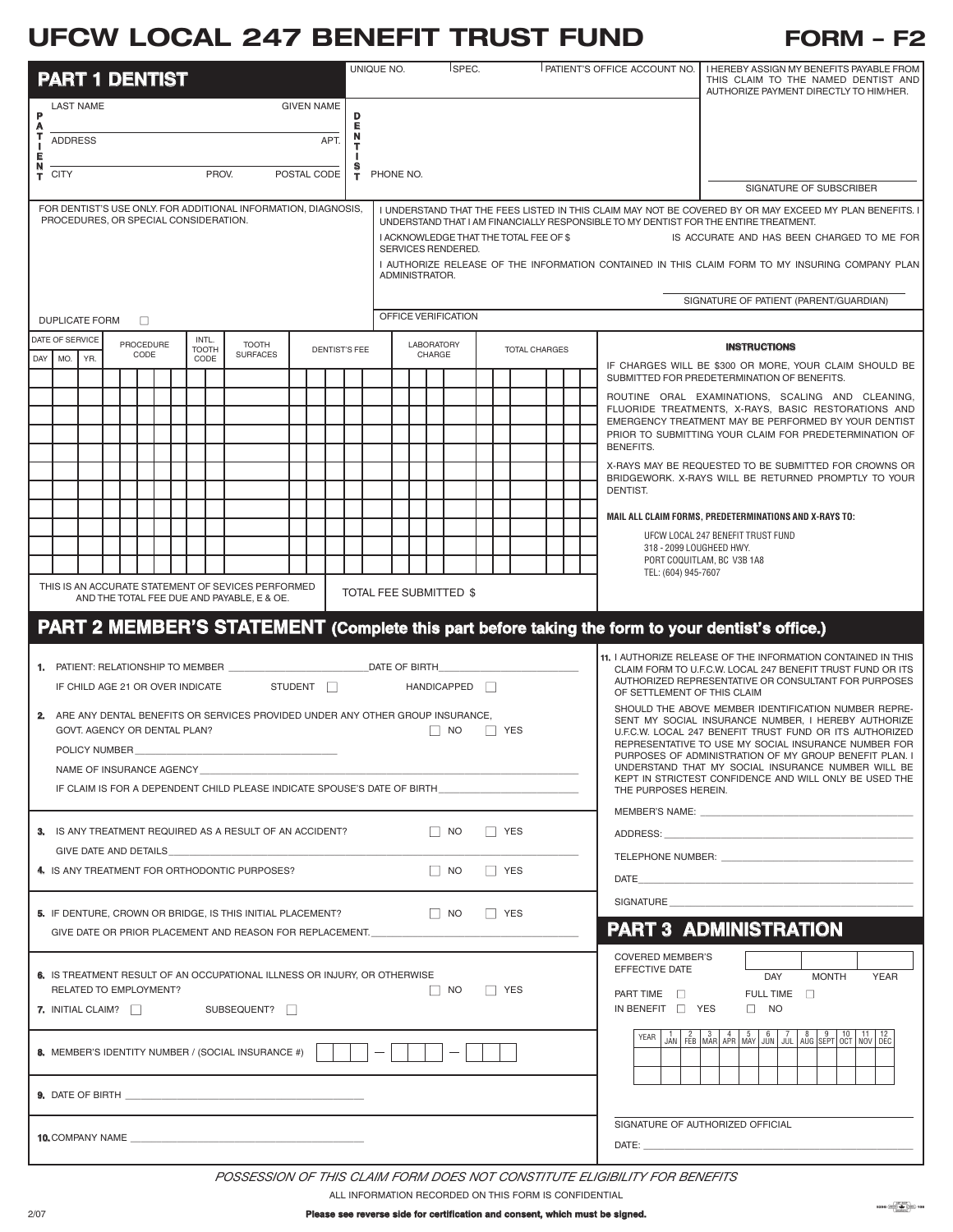## **UFCW LOCAL 247 BENEFIT TRUST FUND FORM – F2**

|                                                                                                                            | <b>PART 1 DENTIST</b>                                                    |                                  |                   |  |  |  |                               |       |                                                                                  |                      |             |   |                                                                                                                                | UNIQUE NO.          |                             |                                                                                                              |  | ISPEC.               |  |  |                                            | <b>PATIENT'S OFFICE ACCOUNT NO.</b>                                                                                | I HEREBY ASSIGN MY BENEFITS PAYABLE FROM<br>THIS CLAIM TO THE NAMED DENTIST AND                                                                                                                                                                               |  |  |  |
|----------------------------------------------------------------------------------------------------------------------------|--------------------------------------------------------------------------|----------------------------------|-------------------|--|--|--|-------------------------------|-------|----------------------------------------------------------------------------------|----------------------|-------------|---|--------------------------------------------------------------------------------------------------------------------------------|---------------------|-----------------------------|--------------------------------------------------------------------------------------------------------------|--|----------------------|--|--|--------------------------------------------|--------------------------------------------------------------------------------------------------------------------|---------------------------------------------------------------------------------------------------------------------------------------------------------------------------------------------------------------------------------------------------------------|--|--|--|
|                                                                                                                            | <b>GIVEN NAME</b><br><b>LAST NAME</b>                                    |                                  |                   |  |  |  |                               |       |                                                                                  |                      |             |   |                                                                                                                                |                     |                             |                                                                                                              |  |                      |  |  |                                            |                                                                                                                    | AUTHORIZE PAYMENT DIRECTLY TO HIM/HER.                                                                                                                                                                                                                        |  |  |  |
| P<br>D<br>Е<br>A<br>т                                                                                                      |                                                                          |                                  |                   |  |  |  |                               |       |                                                                                  |                      |             |   |                                                                                                                                |                     |                             |                                                                                                              |  |                      |  |  |                                            |                                                                                                                    |                                                                                                                                                                                                                                                               |  |  |  |
| APT.<br><b>ADDRESS</b><br>J.<br>Е                                                                                          |                                                                          |                                  |                   |  |  |  |                               |       |                                                                                  |                      |             |   |                                                                                                                                |                     |                             |                                                                                                              |  |                      |  |  |                                            |                                                                                                                    |                                                                                                                                                                                                                                                               |  |  |  |
|                                                                                                                            | $T$ CITY                                                                 |                                  |                   |  |  |  |                               | PROV. |                                                                                  |                      | POSTAL CODE | т | PHONE NO.                                                                                                                      |                     |                             |                                                                                                              |  |                      |  |  |                                            |                                                                                                                    |                                                                                                                                                                                                                                                               |  |  |  |
| FOR DENTIST'S USE ONLY. FOR ADDITIONAL INFORMATION, DIAGNOSIS,                                                             |                                                                          |                                  |                   |  |  |  |                               |       |                                                                                  |                      |             |   |                                                                                                                                |                     |                             |                                                                                                              |  |                      |  |  |                                            |                                                                                                                    | SIGNATURE OF SUBSCRIBER<br>I UNDERSTAND THAT THE FEES LISTED IN THIS CLAIM MAY NOT BE COVERED BY OR MAY EXCEED MY PLAN BENEFITS. I                                                                                                                            |  |  |  |
| PROCEDURES, OR SPECIAL CONSIDERATION.                                                                                      |                                                                          |                                  |                   |  |  |  |                               |       |                                                                                  |                      |             |   | UNDERSTAND THAT I AM FINANCIALLY RESPONSIBLE TO MY DENTIST FOR THE ENTIRE TREATMENT.<br>I ACKNOWLEDGE THAT THE TOTAL FEE OF \$ |                     |                             |                                                                                                              |  |                      |  |  | IS ACCURATE AND HAS BEEN CHARGED TO ME FOR |                                                                                                                    |                                                                                                                                                                                                                                                               |  |  |  |
|                                                                                                                            |                                                                          |                                  |                   |  |  |  |                               |       |                                                                                  |                      |             |   | SERVICES RENDERED.<br>I AUTHORIZE RELEASE OF THE INFORMATION CONTAINED IN THIS CLAIM FORM TO MY INSURING COMPANY PLAN          |                     |                             |                                                                                                              |  |                      |  |  |                                            |                                                                                                                    |                                                                                                                                                                                                                                                               |  |  |  |
|                                                                                                                            |                                                                          |                                  |                   |  |  |  |                               |       |                                                                                  |                      |             |   | ADMINISTRATOR.                                                                                                                 |                     |                             |                                                                                                              |  |                      |  |  |                                            |                                                                                                                    |                                                                                                                                                                                                                                                               |  |  |  |
|                                                                                                                            |                                                                          |                                  |                   |  |  |  |                               |       |                                                                                  |                      |             |   | SIGNATURE OF PATIENT (PARENT/GUARDIAN)                                                                                         |                     |                             |                                                                                                              |  |                      |  |  |                                            |                                                                                                                    |                                                                                                                                                                                                                                                               |  |  |  |
|                                                                                                                            | <b>DUPLICATE FORM</b><br>$\Box$                                          |                                  |                   |  |  |  |                               |       |                                                                                  |                      |             |   |                                                                                                                                | OFFICE VERIFICATION |                             |                                                                                                              |  |                      |  |  |                                            |                                                                                                                    |                                                                                                                                                                                                                                                               |  |  |  |
|                                                                                                                            | DATE OF SERVICE<br>DAY MO.                                               | YR.                              | PROCEDURE<br>CODE |  |  |  | INTL.<br><b>TOOTH</b><br>CODE |       | <b>TOOTH</b><br><b>SURFACES</b>                                                  | <b>DENTIST'S FEE</b> |             |   |                                                                                                                                |                     | <b>LABORATORY</b><br>CHARGE |                                                                                                              |  | <b>TOTAL CHARGES</b> |  |  |                                            | <b>INSTRUCTIONS</b>                                                                                                |                                                                                                                                                                                                                                                               |  |  |  |
|                                                                                                                            |                                                                          |                                  |                   |  |  |  |                               |       |                                                                                  |                      |             |   |                                                                                                                                |                     |                             |                                                                                                              |  |                      |  |  |                                            | IF CHARGES WILL BE \$300 OR MORE, YOUR CLAIM SHOULD BE<br>SUBMITTED FOR PREDETERMINATION OF BENEFITS.              |                                                                                                                                                                                                                                                               |  |  |  |
|                                                                                                                            |                                                                          |                                  |                   |  |  |  |                               |       |                                                                                  |                      |             |   |                                                                                                                                |                     |                             |                                                                                                              |  |                      |  |  |                                            |                                                                                                                    | ROUTINE ORAL EXAMINATIONS, SCALING AND CLEANING,<br>FLUORIDE TREATMENTS, X-RAYS, BASIC RESTORATIONS AND                                                                                                                                                       |  |  |  |
|                                                                                                                            |                                                                          |                                  |                   |  |  |  |                               |       |                                                                                  |                      |             |   |                                                                                                                                |                     |                             |                                                                                                              |  |                      |  |  |                                            |                                                                                                                    | EMERGENCY TREATMENT MAY BE PERFORMED BY YOUR DENTIST<br>PRIOR TO SUBMITTING YOUR CLAIM FOR PREDETERMINATION OF                                                                                                                                                |  |  |  |
|                                                                                                                            |                                                                          |                                  |                   |  |  |  |                               |       |                                                                                  |                      |             |   |                                                                                                                                |                     |                             |                                                                                                              |  |                      |  |  |                                            | BENEFITS.                                                                                                          |                                                                                                                                                                                                                                                               |  |  |  |
|                                                                                                                            |                                                                          |                                  |                   |  |  |  |                               |       |                                                                                  |                      |             |   |                                                                                                                                |                     |                             |                                                                                                              |  |                      |  |  |                                            |                                                                                                                    | X-RAYS MAY BE REQUESTED TO BE SUBMITTED FOR CROWNS OR<br>BRIDGEWORK, X-RAYS WILL BE RETURNED PROMPTLY TO YOUR                                                                                                                                                 |  |  |  |
|                                                                                                                            |                                                                          |                                  |                   |  |  |  |                               |       |                                                                                  |                      |             |   |                                                                                                                                |                     |                             |                                                                                                              |  |                      |  |  |                                            | DENTIST.                                                                                                           |                                                                                                                                                                                                                                                               |  |  |  |
|                                                                                                                            |                                                                          |                                  |                   |  |  |  |                               |       |                                                                                  |                      |             |   |                                                                                                                                |                     |                             |                                                                                                              |  |                      |  |  |                                            |                                                                                                                    | MAIL ALL CLAIM FORMS, PREDETERMINATIONS AND X-RAYS TO:<br>UFCW LOCAL 247 BENEFIT TRUST FUND                                                                                                                                                                   |  |  |  |
|                                                                                                                            |                                                                          |                                  |                   |  |  |  |                               |       |                                                                                  |                      |             |   |                                                                                                                                |                     |                             |                                                                                                              |  |                      |  |  |                                            | 318 - 2099 LOUGHEED HWY.                                                                                           | PORT COQUITLAM, BC V3B 1A8                                                                                                                                                                                                                                    |  |  |  |
|                                                                                                                            |                                                                          |                                  |                   |  |  |  |                               |       |                                                                                  |                      |             |   |                                                                                                                                |                     |                             |                                                                                                              |  |                      |  |  |                                            | TEL: (604) 945-7607                                                                                                |                                                                                                                                                                                                                                                               |  |  |  |
| THIS IS AN ACCURATE STATEMENT OF SEVICES PERFORMED<br>TOTAL FEE SUBMITTED \$<br>AND THE TOTAL FEE DUE AND PAYABLE, E & OE. |                                                                          |                                  |                   |  |  |  |                               |       |                                                                                  |                      |             |   |                                                                                                                                |                     |                             |                                                                                                              |  |                      |  |  |                                            |                                                                                                                    |                                                                                                                                                                                                                                                               |  |  |  |
|                                                                                                                            |                                                                          |                                  |                   |  |  |  |                               |       |                                                                                  |                      |             |   |                                                                                                                                |                     |                             |                                                                                                              |  |                      |  |  |                                            |                                                                                                                    | PART 2 MEMBER'S STATEMENT (Complete this part before taking the form to your dentist's office.)                                                                                                                                                               |  |  |  |
|                                                                                                                            |                                                                          |                                  |                   |  |  |  |                               |       |                                                                                  |                      |             |   |                                                                                                                                |                     |                             |                                                                                                              |  |                      |  |  |                                            |                                                                                                                    | 11. I AUTHORIZE RELEASE OF THE INFORMATION CONTAINED IN THIS                                                                                                                                                                                                  |  |  |  |
|                                                                                                                            | <b>1. PATIENT: RELATIONSHIP TO MEMBER</b>                                | IF CHILD AGE 21 OR OVER INDICATE |                   |  |  |  |                               |       |                                                                                  |                      | STUDENT     |   | DATE OF BIRTH                                                                                                                  |                     |                             | HANDICAPPED <b>N</b>                                                                                         |  |                      |  |  |                                            | CLAIM FORM TO U.F.C.W. LOCAL 247 BENEFIT TRUST FUND OR ITS<br>AUTHORIZED REPRESENTATIVE OR CONSULTANT FOR PURPOSES |                                                                                                                                                                                                                                                               |  |  |  |
|                                                                                                                            |                                                                          |                                  |                   |  |  |  |                               |       |                                                                                  |                      |             |   |                                                                                                                                |                     |                             |                                                                                                              |  |                      |  |  |                                            | OF SETTLEMENT OF THIS CLAIM                                                                                        | SHOULD THE ABOVE MEMBER IDENTIFICATION NUMBER REPRE-                                                                                                                                                                                                          |  |  |  |
|                                                                                                                            |                                                                          | GOVT. AGENCY OR DENTAL PLAN?     |                   |  |  |  |                               |       | 2. ARE ANY DENTAL BENEFITS OR SERVICES PROVIDED UNDER ANY OTHER GROUP INSURANCE, |                      |             |   |                                                                                                                                |                     |                             | <b>NO</b>                                                                                                    |  | YES                  |  |  |                                            |                                                                                                                    | SENT MY SOCIAL INSURANCE NUMBER, I HEREBY AUTHORIZE<br>U.F.C.W. LOCAL 247 BENEFIT TRUST FUND OR ITS AUTHORIZED                                                                                                                                                |  |  |  |
|                                                                                                                            |                                                                          | POLICY NUMBER                    |                   |  |  |  |                               |       |                                                                                  |                      |             |   |                                                                                                                                |                     |                             |                                                                                                              |  |                      |  |  |                                            |                                                                                                                    | REPRESENTATIVE TO USE MY SOCIAL INSURANCE NUMBER FOR<br>PURPOSES OF ADMINISTRATION OF MY GROUP BENEFIT PLAN. I                                                                                                                                                |  |  |  |
|                                                                                                                            | NAME OF INSURANCE AGENCY                                                 |                                  |                   |  |  |  |                               |       |                                                                                  |                      |             |   |                                                                                                                                |                     | THE PURPOSES HEREIN.        | UNDERSTAND THAT MY SOCIAL INSURANCE NUMBER WILL BE<br>KEPT IN STRICTEST CONFIDENCE AND WILL ONLY BE USED THE |  |                      |  |  |                                            |                                                                                                                    |                                                                                                                                                                                                                                                               |  |  |  |
|                                                                                                                            | IF CLAIM IS FOR A DEPENDENT CHILD PLEASE INDICATE SPOUSE'S DATE OF BIRTH |                                  |                   |  |  |  |                               |       |                                                                                  |                      |             |   |                                                                                                                                |                     |                             |                                                                                                              |  |                      |  |  |                                            |                                                                                                                    |                                                                                                                                                                                                                                                               |  |  |  |
|                                                                                                                            |                                                                          |                                  |                   |  |  |  |                               |       | 3. IS ANY TREATMENT REQUIRED AS A RESULT OF AN ACCIDENT?                         |                      |             |   |                                                                                                                                |                     |                             | $\Box$ NO                                                                                                    |  | $\Box$ YES           |  |  |                                            |                                                                                                                    |                                                                                                                                                                                                                                                               |  |  |  |
|                                                                                                                            |                                                                          | GIVE DATE AND DETAILS            |                   |  |  |  |                               |       |                                                                                  |                      |             |   |                                                                                                                                |                     |                             |                                                                                                              |  |                      |  |  |                                            |                                                                                                                    |                                                                                                                                                                                                                                                               |  |  |  |
|                                                                                                                            |                                                                          |                                  |                   |  |  |  |                               |       | 4. IS ANY TREATMENT FOR ORTHODONTIC PURPOSES?                                    |                      |             |   |                                                                                                                                |                     |                             | $\Box$ NO                                                                                                    |  | <b>TES</b>           |  |  |                                            |                                                                                                                    |                                                                                                                                                                                                                                                               |  |  |  |
|                                                                                                                            |                                                                          |                                  |                   |  |  |  |                               |       | 5. IF DENTURE, CROWN OR BRIDGE, IS THIS INITIAL PLACEMENT?                       |                      |             |   |                                                                                                                                |                     |                             | N                                                                                                            |  | <b>NO</b> YES        |  |  |                                            |                                                                                                                    | SIGNATURE <b>SIGNATURE</b>                                                                                                                                                                                                                                    |  |  |  |
|                                                                                                                            |                                                                          |                                  |                   |  |  |  |                               |       | GIVE DATE OR PRIOR PLACEMENT AND REASON FOR REPLACEMENT.                         |                      |             |   |                                                                                                                                |                     |                             |                                                                                                              |  |                      |  |  |                                            |                                                                                                                    | <b>PART 3 ADMINISTRATION</b>                                                                                                                                                                                                                                  |  |  |  |
|                                                                                                                            |                                                                          |                                  |                   |  |  |  |                               |       |                                                                                  |                      |             |   |                                                                                                                                |                     |                             |                                                                                                              |  |                      |  |  |                                            | <b>COVERED MEMBER'S</b>                                                                                            |                                                                                                                                                                                                                                                               |  |  |  |
|                                                                                                                            | RELATED TO EMPLOYMENT?                                                   |                                  |                   |  |  |  |                               |       | 6. IS TREATMENT RESULT OF AN OCCUPATIONAL ILLNESS OR INJURY, OR OTHERWISE        |                      |             |   |                                                                                                                                |                     |                             | $\Box$ NO                                                                                                    |  | <b>NO</b> YES        |  |  |                                            | EFFECTIVE DATE                                                                                                     | DAY<br><b>MONTH</b><br><b>YEAR</b>                                                                                                                                                                                                                            |  |  |  |
|                                                                                                                            | <b>7.</b> INITIAL CLAIM?                                                 |                                  |                   |  |  |  |                               |       | SUBSEQUENT?                                                                      |                      |             |   |                                                                                                                                |                     |                             |                                                                                                              |  |                      |  |  |                                            | PART TIME<br>IN BENEFIT $\Box$ YES                                                                                 | FULL TIME $\Box$<br>$\Box$ NO                                                                                                                                                                                                                                 |  |  |  |
|                                                                                                                            |                                                                          |                                  |                   |  |  |  |                               |       |                                                                                  |                      |             |   |                                                                                                                                |                     |                             |                                                                                                              |  |                      |  |  |                                            | YEAR                                                                                                               | $\frac{1}{\text{JAN}}\begin{bmatrix} 2 & 3 & 4 & 5 & 6 & 7 & 8 & 9 & 10 & 11 & 12 \\ \text{fEB} & \text{MAR} & \text{APR} & \text{MAX} & \text{JUN} & \text{JUL} & \text{AUG} & \text{SEPT} & \text{OCT} & \text{NOV} \end{bmatrix} \xrightarrow{\text{DEC}}$ |  |  |  |
|                                                                                                                            |                                                                          |                                  |                   |  |  |  |                               |       | 8. MEMBER'S IDENTITY NUMBER / (SOCIAL INSURANCE #)                               |                      |             |   | $\overline{\phantom{m}}$                                                                                                       |                     |                             |                                                                                                              |  |                      |  |  |                                            |                                                                                                                    |                                                                                                                                                                                                                                                               |  |  |  |
|                                                                                                                            |                                                                          |                                  |                   |  |  |  |                               |       |                                                                                  |                      |             |   |                                                                                                                                |                     |                             |                                                                                                              |  |                      |  |  |                                            |                                                                                                                    |                                                                                                                                                                                                                                                               |  |  |  |
|                                                                                                                            |                                                                          |                                  |                   |  |  |  |                               |       |                                                                                  |                      |             |   |                                                                                                                                |                     |                             |                                                                                                              |  |                      |  |  |                                            |                                                                                                                    | SIGNATURE OF AUTHORIZED OFFICIAL                                                                                                                                                                                                                              |  |  |  |

*POSSESSION OF THIS CLAIM FORM DOES NOT CONSTITUTE ELIGIBILITY FOR BENEFITS*

ALL INFORMATION RECORDED ON THIS FORM IS CONFIDENTIAL

 $5256 \frac{ \frac{ \sqrt{100 - 1000}}{1000}}{ \frac{ \sqrt{100000000}}{10000000}} \big) 108$